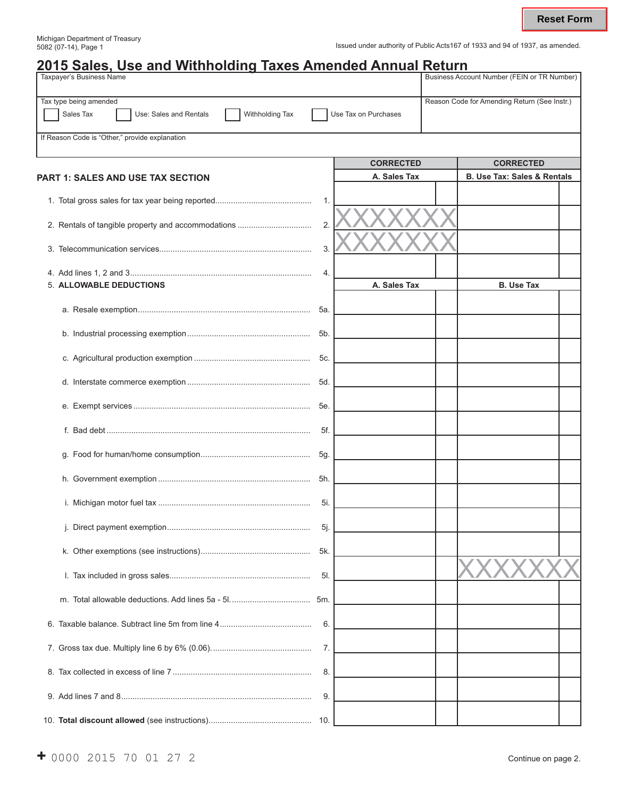Issued under authority of Public Acts167 of 1933 and 94 of 1937, as amended.

| <u>2015 Sales, Use and Withholding Taxes Amended Annual Return</u><br>Taxpayer's Business Name |                      |                                              |  | <b>Business Account Number (FEIN or TR Number)</b> |  |
|------------------------------------------------------------------------------------------------|----------------------|----------------------------------------------|--|----------------------------------------------------|--|
| Tax type being amended<br>Sales Tax<br>Use: Sales and Rentals<br>Withholding Tax               | Use Tax on Purchases | Reason Code for Amending Return (See Instr.) |  |                                                    |  |
| If Reason Code is "Other," provide explanation                                                 |                      |                                              |  |                                                    |  |
|                                                                                                |                      | <b>CORRECTED</b>                             |  | <b>CORRECTED</b>                                   |  |
| <b>PART 1: SALES AND USE TAX SECTION</b>                                                       |                      | A. Sales Tax                                 |  | <b>B. Use Tax: Sales &amp; Rentals</b>             |  |
|                                                                                                | 1.                   |                                              |  |                                                    |  |
|                                                                                                | 2.                   |                                              |  |                                                    |  |
|                                                                                                | 3.                   |                                              |  |                                                    |  |
| 5. ALLOWABLE DEDUCTIONS                                                                        | 4.                   | A. Sales Tax                                 |  | <b>B. Use Tax</b>                                  |  |
|                                                                                                | 5а.                  |                                              |  |                                                    |  |
|                                                                                                | 5b.                  |                                              |  |                                                    |  |
|                                                                                                | 5c.                  |                                              |  |                                                    |  |
|                                                                                                | 5d.                  |                                              |  |                                                    |  |
|                                                                                                | 5е.                  |                                              |  |                                                    |  |
|                                                                                                | 5f.                  |                                              |  |                                                    |  |
|                                                                                                | 5g.                  |                                              |  |                                                    |  |
|                                                                                                | 5h.                  |                                              |  |                                                    |  |
|                                                                                                | 5i.                  |                                              |  |                                                    |  |
|                                                                                                | -5j.                 |                                              |  |                                                    |  |
|                                                                                                | 5k.                  |                                              |  |                                                    |  |
|                                                                                                | 5l.                  |                                              |  |                                                    |  |
|                                                                                                | .5m                  |                                              |  |                                                    |  |
|                                                                                                | 6.                   |                                              |  |                                                    |  |
|                                                                                                | 7.                   |                                              |  |                                                    |  |
|                                                                                                | 8.                   |                                              |  |                                                    |  |
|                                                                                                | 9.                   |                                              |  |                                                    |  |
|                                                                                                |                      |                                              |  |                                                    |  |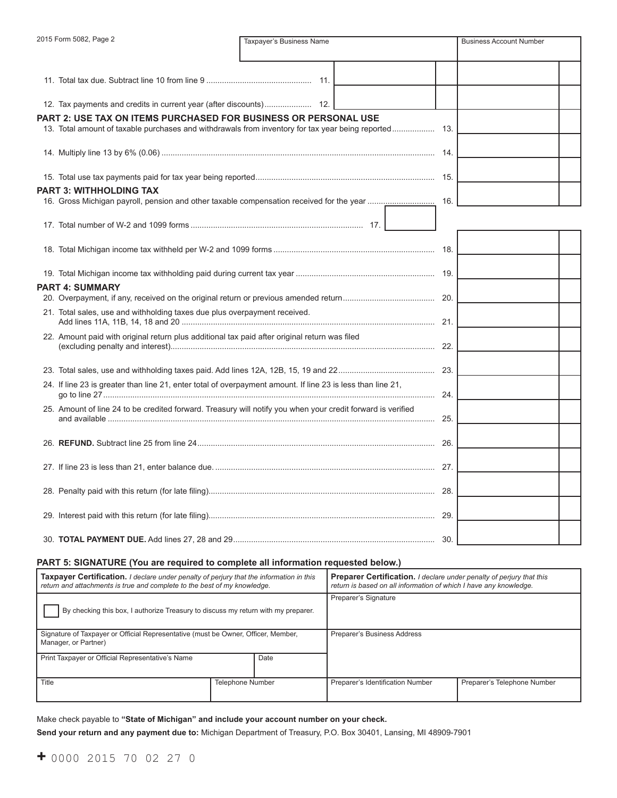| 2015 Form 5082, Page 2<br>Taxpayer's Business Name                                                          |                                                                                                             | <b>Business Account Number</b> |  |  |
|-------------------------------------------------------------------------------------------------------------|-------------------------------------------------------------------------------------------------------------|--------------------------------|--|--|
|                                                                                                             |                                                                                                             |                                |  |  |
|                                                                                                             |                                                                                                             |                                |  |  |
|                                                                                                             |                                                                                                             |                                |  |  |
| PART 2: USE TAX ON ITEMS PURCHASED FOR BUSINESS OR PERSONAL USE                                             |                                                                                                             |                                |  |  |
|                                                                                                             |                                                                                                             |                                |  |  |
|                                                                                                             |                                                                                                             |                                |  |  |
|                                                                                                             |                                                                                                             |                                |  |  |
| PART 3: WITHHOLDING TAX                                                                                     |                                                                                                             |                                |  |  |
|                                                                                                             |                                                                                                             |                                |  |  |
|                                                                                                             |                                                                                                             |                                |  |  |
|                                                                                                             |                                                                                                             |                                |  |  |
|                                                                                                             |                                                                                                             |                                |  |  |
|                                                                                                             |                                                                                                             |                                |  |  |
| <b>PART 4: SUMMARY</b>                                                                                      |                                                                                                             |                                |  |  |
|                                                                                                             |                                                                                                             |                                |  |  |
| 21. Total sales, use and withholding taxes due plus overpayment received.                                   |                                                                                                             |                                |  |  |
| 22. Amount paid with original return plus additional tax paid after original return was filed               |                                                                                                             |                                |  |  |
|                                                                                                             |                                                                                                             |                                |  |  |
|                                                                                                             |                                                                                                             |                                |  |  |
| 24. If line 23 is greater than line 21, enter total of overpayment amount. If line 23 is less than line 21, |                                                                                                             |                                |  |  |
|                                                                                                             | 25. Amount of line 24 to be credited forward. Treasury will notify you when your credit forward is verified |                                |  |  |
|                                                                                                             |                                                                                                             |                                |  |  |
|                                                                                                             |                                                                                                             |                                |  |  |
|                                                                                                             |                                                                                                             |                                |  |  |
|                                                                                                             |                                                                                                             |                                |  |  |
|                                                                                                             |                                                                                                             |                                |  |  |
|                                                                                                             |                                                                                                             |                                |  |  |

#### **PART 5: SIGNATURE (You are required to complete all information requested below.)**

| <b>Taxpayer Certification.</b> I declare under penalty of perjury that the information in this<br>return and attachments is true and complete to the best of my knowledge. |                         | <b>Preparer Certification.</b> I declare under penalty of perjury that this<br>return is based on all information of which I have any knowledge. |                                  |                             |
|----------------------------------------------------------------------------------------------------------------------------------------------------------------------------|-------------------------|--------------------------------------------------------------------------------------------------------------------------------------------------|----------------------------------|-----------------------------|
| By checking this box, I authorize Treasury to discuss my return with my preparer.                                                                                          |                         | Preparer's Signature                                                                                                                             |                                  |                             |
| Signature of Taxpayer or Official Representative (must be Owner, Officer, Member,<br>Manager, or Partner)                                                                  |                         | Preparer's Business Address                                                                                                                      |                                  |                             |
| Print Taxpayer or Official Representative's Name                                                                                                                           |                         | Date                                                                                                                                             |                                  |                             |
| Title                                                                                                                                                                      | <b>Telephone Number</b> |                                                                                                                                                  | Preparer's Identification Number | Preparer's Telephone Number |

Make check payable to **"State of Michigan" and include your account number on your check. Send your return and any payment due to:** Michigan Department of Treasury, P.O. Box 30401, Lansing, MI 48909-7901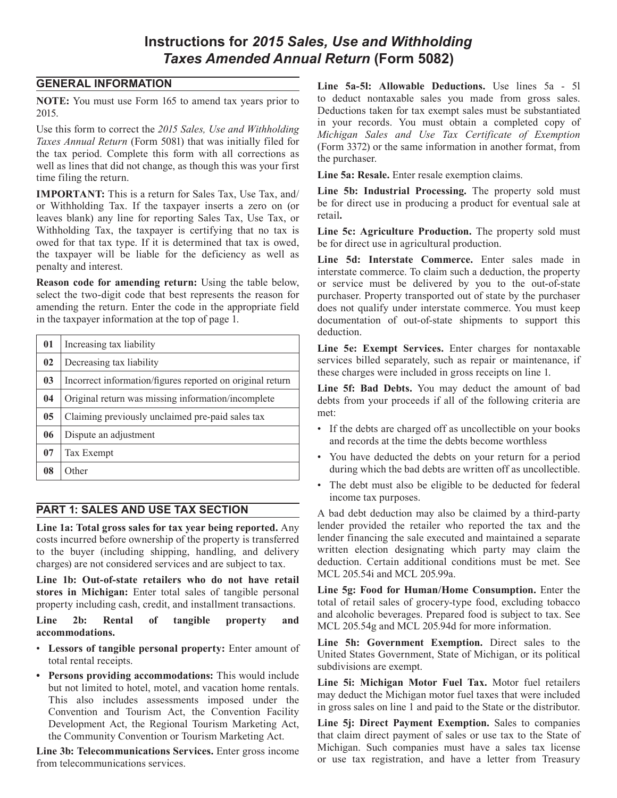# **Instructions for** *2015 Sales, Use and Withholding Taxes Amended Annual Return* **(Form 5082)**

## **GENERAL INFORMATION**

**NOTE:** You must use Form 165 to amend tax years prior to 2015.

Use this form to correct the *2015 Sales, Use and Withholding Taxes Annual Return* (Form 5081) that was initially filed for the tax period. Complete this form with all corrections as well as lines that did not change, as though this was your first time filing the return.

**IMPORTANT:** This is a return for Sales Tax, Use Tax, and/ or Withholding Tax. If the taxpayer inserts a zero on (or leaves blank) any line for reporting Sales Tax, Use Tax, or Withholding Tax, the taxpayer is certifying that no tax is owed for that tax type. If it is determined that tax is owed, the taxpayer will be liable for the deficiency as well as penalty and interest.

**Reason code for amending return:** Using the table below, select the two-digit code that best represents the reason for amending the return. Enter the code in the appropriate field in the taxpayer information at the top of page 1.

| 01             | Increasing tax liability                                  |
|----------------|-----------------------------------------------------------|
| 02             | Decreasing tax liability                                  |
| 03             | Incorrect information/figures reported on original return |
| 04             | Original return was missing information/incomplete        |
| 0 <sub>5</sub> | Claiming previously unclaimed pre-paid sales tax          |
| 06             | Dispute an adjustment                                     |
| 07             | Tax Exempt                                                |
| 08             | Other                                                     |

# **PART 1: SALES AND USE TAX SECTION**

**Line 1a: Total gross sales for tax year being reported.** Any costs incurred before ownership of the property is transferred to the buyer (including shipping, handling, and delivery charges) are not considered services and are subject to tax.

**Line 1b: Out-of-state retailers who do not have retail stores in Michigan:** Enter total sales of tangible personal property including cash, credit, and installment transactions.

**Line 2b: Rental of tangible property and accommodations.**

- • **Lessors of tangible personal property:** Enter amount of total rental receipts.
- **• Persons providing accommodations:** This would include but not limited to hotel, motel, and vacation home rentals. This also includes assessments imposed under the Convention and Tourism Act, the Convention Facility Development Act, the Regional Tourism Marketing Act, the Community Convention or Tourism Marketing Act.

**Line 3b: Telecommunications Services.** Enter gross income from telecommunications services.

**Line 5a-5l: Allowable Deductions.** Use lines 5a - 5l to deduct nontaxable sales you made from gross sales. Deductions taken for tax exempt sales must be substantiated in your records. You must obtain a completed copy of *Michigan Sales and Use Tax Certificate of Exemption*  (Form 3372) or the same information in another format, from the purchaser.

**Line 5a: Resale.** Enter resale exemption claims.

**Line 5b: Industrial Processing.** The property sold must be for direct use in producing a product for eventual sale at retail**.**

**Line 5c: Agriculture Production.** The property sold must be for direct use in agricultural production.

**Line 5d: Interstate Commerce.** Enter sales made in interstate commerce. To claim such a deduction, the property or service must be delivered by you to the out-of-state purchaser. Property transported out of state by the purchaser does not qualify under interstate commerce. You must keep documentation of out-of-state shipments to support this deduction.

**Line 5e: Exempt Services.** Enter charges for nontaxable services billed separately, such as repair or maintenance, if these charges were included in gross receipts on line 1.

**Line 5f: Bad Debts.** You may deduct the amount of bad debts from your proceeds if all of the following criteria are met:

- If the debts are charged off as uncollectible on your books and records at the time the debts become worthless
- You have deducted the debts on your return for a period during which the bad debts are written off as uncollectible.
- The debt must also be eligible to be deducted for federal income tax purposes.

A bad debt deduction may also be claimed by a third-party lender provided the retailer who reported the tax and the lender financing the sale executed and maintained a separate written election designating which party may claim the deduction. Certain additional conditions must be met. See MCL 205.54i and MCL 205.99a.

**Line 5g: Food for Human/Home Consumption.** Enter the total of retail sales of grocery-type food, excluding tobacco and alcoholic beverages. Prepared food is subject to tax. See MCL 205.54g and MCL 205.94d for more information.

**Line 5h: Government Exemption.** Direct sales to the United States Government, State of Michigan, or its political subdivisions are exempt.

**Line 5i: Michigan Motor Fuel Tax.** Motor fuel retailers may deduct the Michigan motor fuel taxes that were included in gross sales on line 1 and paid to the State or the distributor.

Line 5*j*: Direct Payment Exemption. Sales to companies that claim direct payment of sales or use tax to the State of Michigan. Such companies must have a sales tax license or use tax registration, and have a letter from Treasury